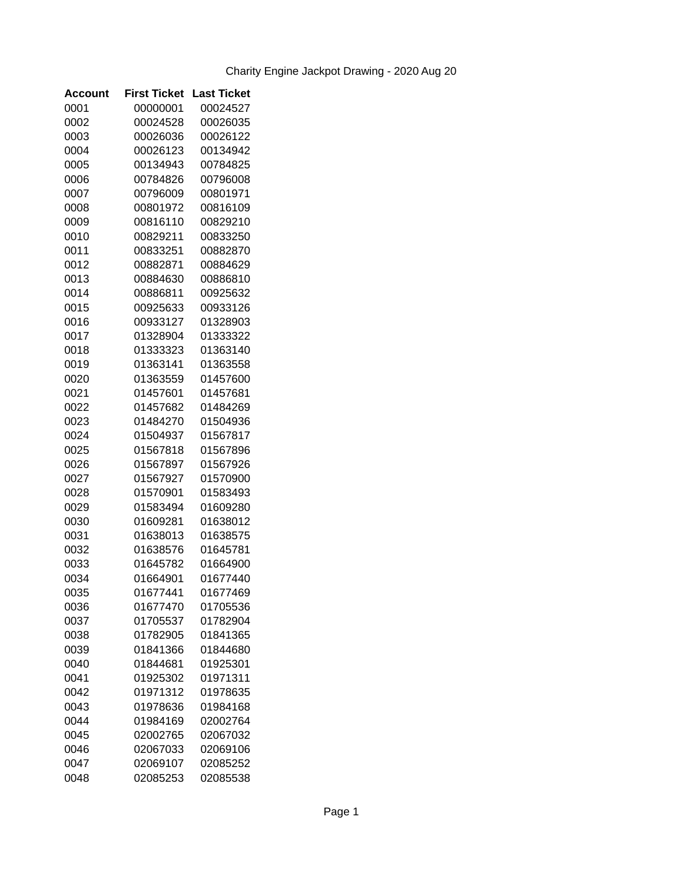| Account | <b>First Ticket</b> | <b>Last Ticket</b> |
|---------|---------------------|--------------------|
| 0001    | 00000001            | 00024527           |
| 0002    | 00024528            | 00026035           |
| 0003    | 00026036            | 00026122           |
| 0004    | 00026123            | 00134942           |
| 0005    | 00134943            | 00784825           |
| 0006    | 00784826            | 00796008           |
| 0007    | 00796009            | 00801971           |
| 0008    | 00801972            | 00816109           |
| 0009    | 00816110            | 00829210           |
| 0010    | 00829211            | 00833250           |
| 0011    | 00833251            | 00882870           |
| 0012    | 00882871            | 00884629           |
| 0013    | 00884630            | 00886810           |
| 0014    | 00886811            | 00925632           |
| 0015    | 00925633            | 00933126           |
| 0016    | 00933127            | 01328903           |
| 0017    | 01328904            | 01333322           |
| 0018    | 01333323            | 01363140           |
| 0019    | 01363141            | 01363558           |
| 0020    | 01363559            | 01457600           |
| 0021    | 01457601            | 01457681           |
| 0022    | 01457682            | 01484269           |
| 0023    | 01484270            | 01504936           |
| 0024    | 01504937            | 01567817           |
| 0025    | 01567818            | 01567896           |
| 0026    | 01567897            | 01567926           |
| 0027    | 01567927            | 01570900           |
| 0028    | 01570901            | 01583493           |
| 0029    | 01583494            | 01609280           |
| 0030    | 01609281            | 01638012           |
| 0031    | 01638013            | 01638575           |
| 0032    | 01638576            | 01645781           |
| 0033    | 01645782            | 01664900           |
| 0034    | 01664901            | 01677440           |
| 0035    | 01677441            | 01677469           |
| 0036    | 01677470            | 01705536           |
| 0037    | 01705537            | 01782904           |
| 0038    | 01782905            | 01841365           |
| 0039    | 01841366            | 01844680           |
| 0040    | 01844681            | 01925301           |
| 0041    | 01925302            | 01971311           |
| 0042    | 01971312            | 01978635           |
| 0043    | 01978636            | 01984168           |
| 0044    | 01984169            | 02002764           |
| 0045    | 02002765            | 02067032           |
| 0046    | 02067033            | 02069106           |
| 0047    | 02069107            | 02085252           |
| 0048    | 02085253            | 02085538           |
|         |                     |                    |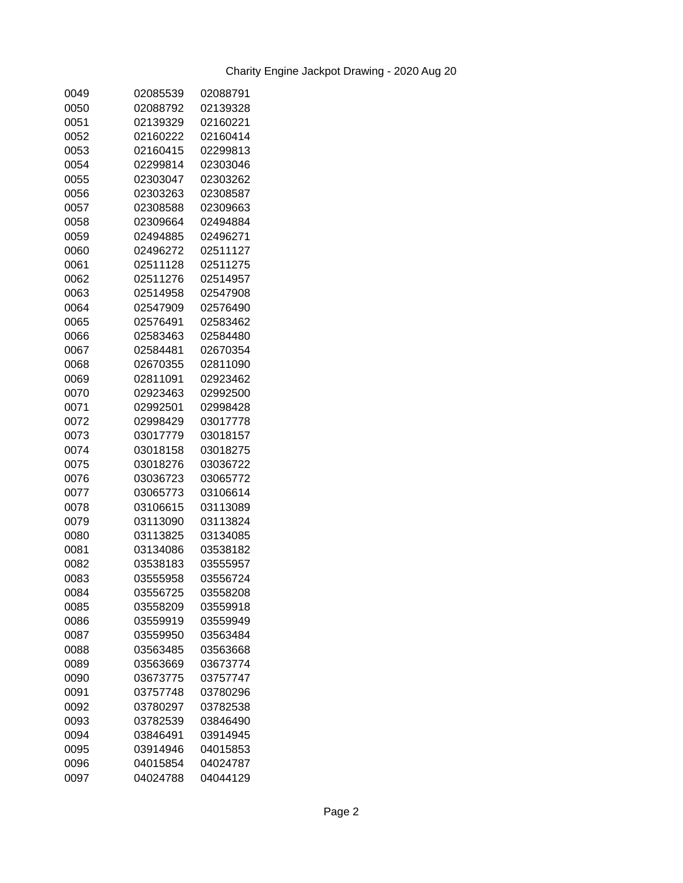| 0049 | 02085539 | 02088791 |
|------|----------|----------|
| 0050 | 02088792 | 02139328 |
| 0051 | 02139329 | 02160221 |
| 0052 | 02160222 | 02160414 |
| 0053 | 02160415 | 02299813 |
| 0054 | 02299814 | 02303046 |
| 0055 | 02303047 | 02303262 |
| 0056 | 02303263 | 02308587 |
| 0057 | 02308588 | 02309663 |
| 0058 | 02309664 | 02494884 |
| 0059 | 02494885 | 02496271 |
| 0060 | 02496272 | 02511127 |
| 0061 | 02511128 | 02511275 |
| 0062 | 02511276 | 02514957 |
| 0063 | 02514958 | 02547908 |
| 0064 | 02547909 | 02576490 |
| 0065 | 02576491 | 02583462 |
| 0066 | 02583463 | 02584480 |
| 0067 | 02584481 | 02670354 |
| 0068 | 02670355 | 02811090 |
| 0069 | 02811091 | 02923462 |
| 0070 | 02923463 | 02992500 |
| 0071 | 02992501 | 02998428 |
| 0072 | 02998429 | 03017778 |
| 0073 | 03017779 | 03018157 |
| 0074 | 03018158 | 03018275 |
| 0075 | 03018276 | 03036722 |
| 0076 | 03036723 | 03065772 |
| 0077 | 03065773 | 03106614 |
| 0078 | 03106615 | 03113089 |
| 0079 | 03113090 | 03113824 |
| 0080 | 03113825 | 03134085 |
| 0081 | 03134086 | 03538182 |
| 0082 | 03538183 | 03555957 |
| 0083 | 03555958 | 03556724 |
| 0084 | 03556725 | 03558208 |
| 0085 | 03558209 | 03559918 |
| 0086 | 03559919 | 03559949 |
| 0087 | 03559950 | 03563484 |
| 0088 | 03563485 | 03563668 |
| 0089 | 03563669 | 03673774 |
| 0090 | 03673775 | 03757747 |
| 0091 | 03757748 | 03780296 |
| 0092 | 03780297 | 03782538 |
| 0093 | 03782539 | 03846490 |
| 0094 | 03846491 | 03914945 |
| 0095 | 03914946 | 04015853 |
| 0096 | 04015854 | 04024787 |
| 0097 | 04024788 | 04044129 |
|      |          |          |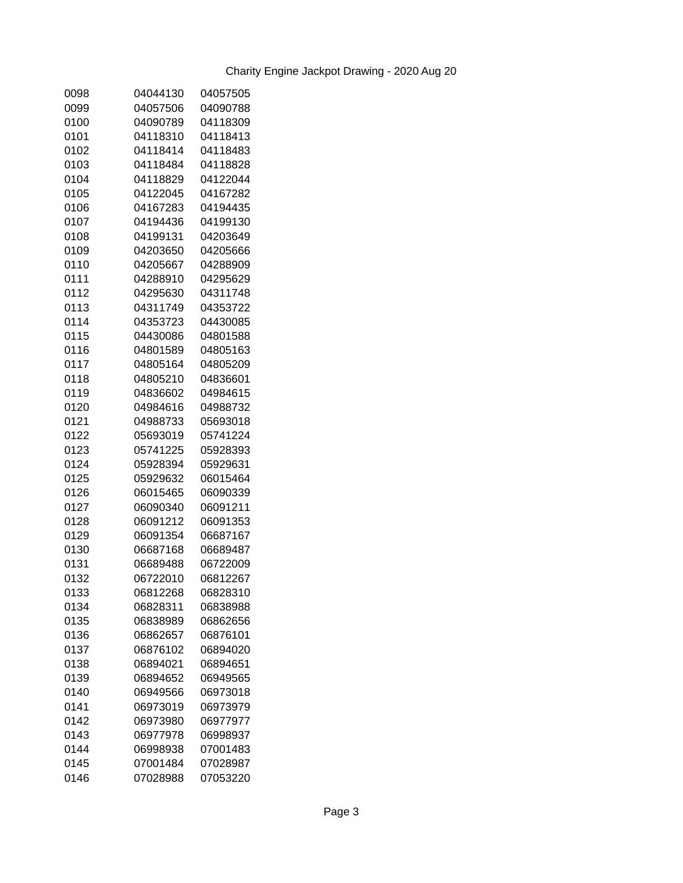| 0098 | 04044130 | 04057505 |
|------|----------|----------|
| 0099 | 04057506 | 04090788 |
| 0100 | 04090789 | 04118309 |
| 0101 | 04118310 | 04118413 |
| 0102 | 04118414 | 04118483 |
| 0103 | 04118484 | 04118828 |
| 0104 | 04118829 | 04122044 |
| 0105 | 04122045 | 04167282 |
| 0106 | 04167283 | 04194435 |
| 0107 | 04194436 | 04199130 |
| 0108 | 04199131 | 04203649 |
| 0109 | 04203650 | 04205666 |
| 0110 | 04205667 | 04288909 |
| 0111 | 04288910 | 04295629 |
| 0112 | 04295630 | 04311748 |
| 0113 | 04311749 | 04353722 |
| 0114 | 04353723 | 04430085 |
| 0115 | 04430086 | 04801588 |
| 0116 | 04801589 | 04805163 |
| 0117 | 04805164 | 04805209 |
| 0118 | 04805210 | 04836601 |
| 0119 | 04836602 | 04984615 |
| 0120 | 04984616 | 04988732 |
| 0121 | 04988733 | 05693018 |
| 0122 | 05693019 | 05741224 |
| 0123 | 05741225 | 05928393 |
| 0124 | 05928394 | 05929631 |
| 0125 | 05929632 | 06015464 |
| 0126 | 06015465 | 06090339 |
| 0127 | 06090340 | 06091211 |
| 0128 | 06091212 | 06091353 |
| 0129 | 06091354 | 06687167 |
| 0130 | 06687168 | 06689487 |
| 0131 | 06689488 | 06722009 |
| 0132 | 06722010 | 06812267 |
| 0133 | 06812268 | 06828310 |
| 0134 | 06828311 | 06838988 |
| 0135 | 06838989 | 06862656 |
| 0136 | 06862657 | 06876101 |
| 0137 | 06876102 | 06894020 |
| 0138 | 06894021 | 06894651 |
| 0139 | 06894652 | 06949565 |
| 0140 | 06949566 | 06973018 |
| 0141 | 06973019 | 06973979 |
| 0142 | 06973980 | 06977977 |
| 0143 | 06977978 | 06998937 |
| 0144 | 06998938 | 07001483 |
| 0145 | 07001484 | 07028987 |
| 0146 | 07028988 | 07053220 |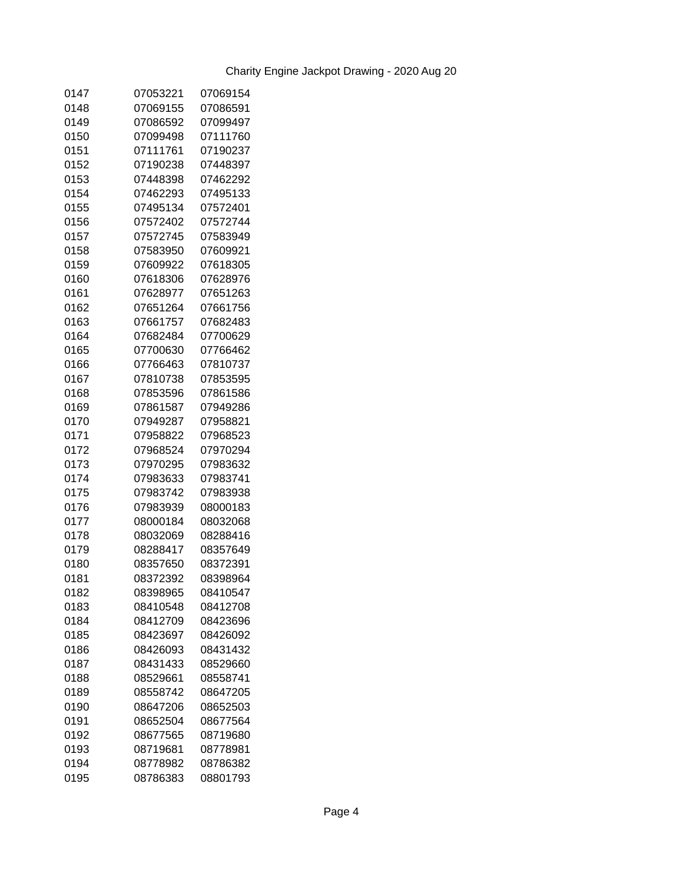| 0147 | 07053221 | 07069154 |
|------|----------|----------|
| 0148 | 07069155 | 07086591 |
| 0149 | 07086592 | 07099497 |
| 0150 | 07099498 | 07111760 |
| 0151 | 07111761 | 07190237 |
| 0152 | 07190238 | 07448397 |
| 0153 | 07448398 | 07462292 |
| 0154 | 07462293 | 07495133 |
| 0155 | 07495134 | 07572401 |
| 0156 | 07572402 | 07572744 |
| 0157 | 07572745 | 07583949 |
| 0158 | 07583950 | 07609921 |
| 0159 | 07609922 | 07618305 |
| 0160 | 07618306 | 07628976 |
| 0161 | 07628977 | 07651263 |
| 0162 | 07651264 | 07661756 |
| 0163 | 07661757 | 07682483 |
| 0164 | 07682484 | 07700629 |
| 0165 | 07700630 | 07766462 |
| 0166 | 07766463 | 07810737 |
| 0167 | 07810738 | 07853595 |
| 0168 | 07853596 | 07861586 |
| 0169 | 07861587 | 07949286 |
| 0170 | 07949287 | 07958821 |
| 0171 | 07958822 | 07968523 |
| 0172 | 07968524 | 07970294 |
| 0173 | 07970295 | 07983632 |
| 0174 | 07983633 | 07983741 |
| 0175 | 07983742 | 07983938 |
| 0176 | 07983939 | 08000183 |
| 0177 | 08000184 | 08032068 |
| 0178 | 08032069 | 08288416 |
| 0179 | 08288417 | 08357649 |
| 0180 | 08357650 | 08372391 |
| 0181 | 08372392 | 08398964 |
| 0182 | 08398965 | 08410547 |
| 0183 | 08410548 | 08412708 |
| 0184 | 08412709 | 08423696 |
| 0185 | 08423697 | 08426092 |
| 0186 | 08426093 | 08431432 |
| 0187 | 08431433 | 08529660 |
| 0188 | 08529661 | 08558741 |
| 0189 | 08558742 | 08647205 |
| 0190 | 08647206 | 08652503 |
| 0191 | 08652504 | 08677564 |
| 0192 | 08677565 | 08719680 |
| 0193 | 08719681 | 08778981 |
| 0194 | 08778982 | 08786382 |
| 0195 | 08786383 | 08801793 |
|      |          |          |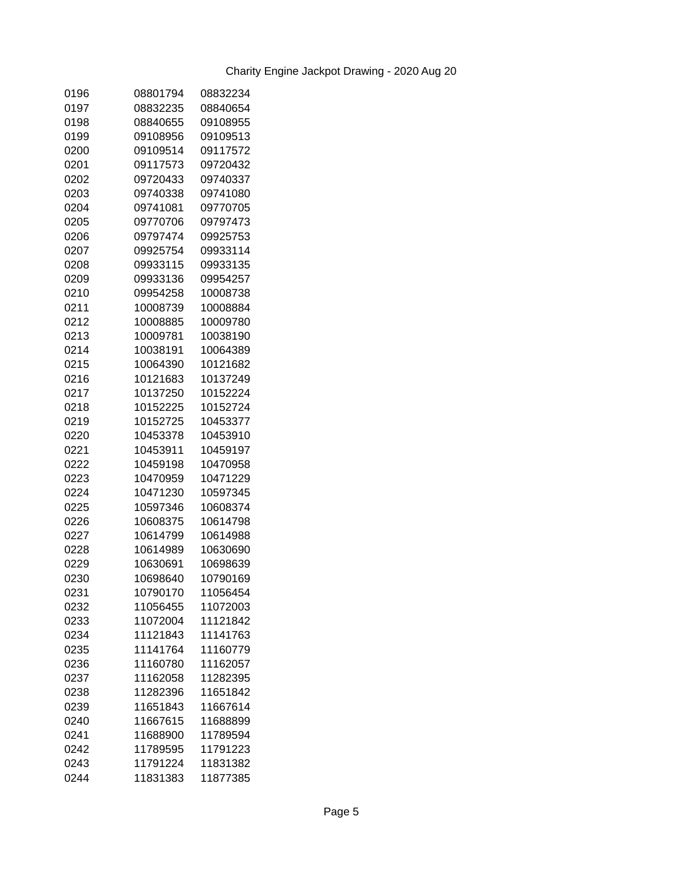| 0196 | 08801794 | 08832234 |
|------|----------|----------|
| 0197 | 08832235 | 08840654 |
| 0198 | 08840655 | 09108955 |
| 0199 | 09108956 | 09109513 |
| 0200 | 09109514 | 09117572 |
| 0201 | 09117573 | 09720432 |
| 0202 | 09720433 | 09740337 |
| 0203 | 09740338 | 09741080 |
| 0204 | 09741081 | 09770705 |
| 0205 | 09770706 | 09797473 |
| 0206 | 09797474 | 09925753 |
| 0207 | 09925754 | 09933114 |
| 0208 | 09933115 | 09933135 |
| 0209 | 09933136 | 09954257 |
| 0210 | 09954258 | 10008738 |
| 0211 | 10008739 | 10008884 |
| 0212 | 10008885 | 10009780 |
| 0213 | 10009781 | 10038190 |
| 0214 | 10038191 | 10064389 |
| 0215 | 10064390 | 10121682 |
| 0216 | 10121683 | 10137249 |
| 0217 | 10137250 | 10152224 |
| 0218 | 10152225 | 10152724 |
| 0219 | 10152725 | 10453377 |
| 0220 | 10453378 | 10453910 |
| 0221 | 10453911 | 10459197 |
| 0222 | 10459198 | 10470958 |
| 0223 | 10470959 | 10471229 |
| 0224 | 10471230 | 10597345 |
| 0225 | 10597346 | 10608374 |
| 0226 | 10608375 | 10614798 |
| 0227 | 10614799 | 10614988 |
| 0228 | 10614989 | 10630690 |
| 0229 | 10630691 | 10698639 |
| 0230 | 10698640 | 10790169 |
| 0231 | 10790170 | 11056454 |
| 0232 | 11056455 | 11072003 |
| 0233 | 11072004 | 11121842 |
| 0234 | 11121843 | 11141763 |
| 0235 | 11141764 | 11160779 |
| 0236 | 11160780 | 11162057 |
| 0237 | 11162058 | 11282395 |
| 0238 | 11282396 | 11651842 |
| 0239 | 11651843 | 11667614 |
| 0240 | 11667615 | 11688899 |
| 0241 | 11688900 | 11789594 |
| 0242 | 11789595 | 11791223 |
| 0243 | 11791224 | 11831382 |
| 0244 | 11831383 | 11877385 |
|      |          |          |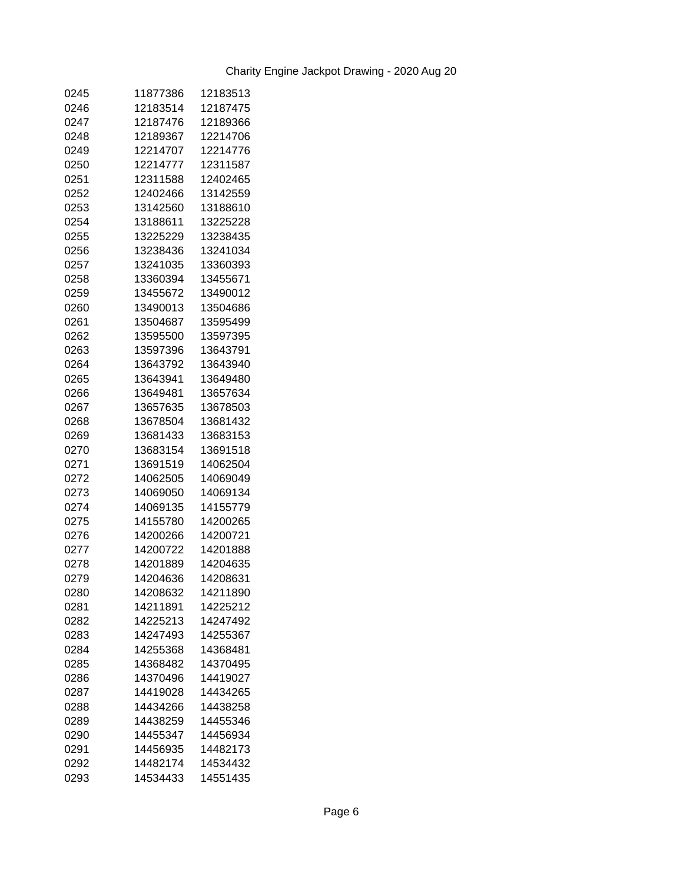| 0245 | 11877386 | 12183513 |
|------|----------|----------|
| 0246 | 12183514 | 12187475 |
| 0247 | 12187476 | 12189366 |
| 0248 | 12189367 | 12214706 |
| 0249 | 12214707 | 12214776 |
| 0250 | 12214777 | 12311587 |
| 0251 | 12311588 | 12402465 |
| 0252 | 12402466 | 13142559 |
| 0253 | 13142560 | 13188610 |
| 0254 | 13188611 | 13225228 |
| 0255 | 13225229 | 13238435 |
| 0256 | 13238436 | 13241034 |
| 0257 | 13241035 | 13360393 |
| 0258 | 13360394 | 13455671 |
| 0259 | 13455672 | 13490012 |
| 0260 | 13490013 | 13504686 |
| 0261 | 13504687 | 13595499 |
| 0262 | 13595500 | 13597395 |
| 0263 | 13597396 | 13643791 |
| 0264 | 13643792 | 13643940 |
| 0265 | 13643941 | 13649480 |
| 0266 | 13649481 | 13657634 |
| 0267 | 13657635 | 13678503 |
| 0268 | 13678504 | 13681432 |
| 0269 | 13681433 | 13683153 |
| 0270 | 13683154 | 13691518 |
| 0271 | 13691519 | 14062504 |
| 0272 | 14062505 | 14069049 |
| 0273 | 14069050 | 14069134 |
| 0274 | 14069135 | 14155779 |
| 0275 | 14155780 | 14200265 |
| 0276 | 14200266 | 14200721 |
| 0277 | 14200722 | 14201888 |
| 0278 | 14201889 | 14204635 |
| 0279 | 14204636 | 14208631 |
| 0280 | 14208632 | 14211890 |
| 0281 | 14211891 | 14225212 |
| 0282 | 14225213 | 14247492 |
| 0283 | 14247493 | 14255367 |
| 0284 | 14255368 | 14368481 |
| 0285 | 14368482 | 14370495 |
| 0286 | 14370496 | 14419027 |
| 0287 | 14419028 | 14434265 |
| 0288 | 14434266 | 14438258 |
| 0289 | 14438259 | 14455346 |
| 0290 | 14455347 | 14456934 |
| 0291 | 14456935 | 14482173 |
| 0292 | 14482174 | 14534432 |
| 0293 | 14534433 | 14551435 |
|      |          |          |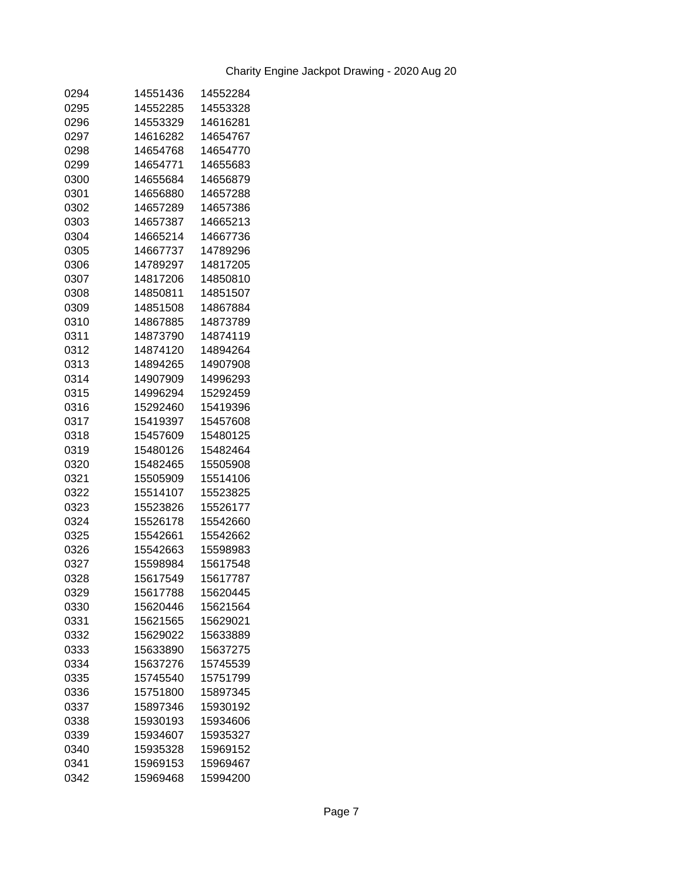| 0294 | 14551436 | 14552284 |
|------|----------|----------|
| 0295 | 14552285 | 14553328 |
| 0296 | 14553329 | 14616281 |
| 0297 | 14616282 | 14654767 |
| 0298 | 14654768 | 14654770 |
| 0299 | 14654771 | 14655683 |
| 0300 | 14655684 | 14656879 |
| 0301 | 14656880 | 14657288 |
| 0302 | 14657289 | 14657386 |
| 0303 | 14657387 | 14665213 |
| 0304 | 14665214 | 14667736 |
| 0305 | 14667737 | 14789296 |
| 0306 | 14789297 | 14817205 |
| 0307 | 14817206 | 14850810 |
| 0308 | 14850811 | 14851507 |
| 0309 | 14851508 | 14867884 |
| 0310 | 14867885 | 14873789 |
| 0311 | 14873790 | 14874119 |
| 0312 | 14874120 | 14894264 |
| 0313 | 14894265 | 14907908 |
| 0314 | 14907909 | 14996293 |
| 0315 | 14996294 | 15292459 |
| 0316 | 15292460 | 15419396 |
| 0317 | 15419397 | 15457608 |
| 0318 | 15457609 | 15480125 |
| 0319 | 15480126 | 15482464 |
| 0320 | 15482465 | 15505908 |
| 0321 | 15505909 | 15514106 |
| 0322 | 15514107 | 15523825 |
| 0323 | 15523826 | 15526177 |
| 0324 | 15526178 | 15542660 |
| 0325 | 15542661 | 15542662 |
| 0326 | 15542663 | 15598983 |
| 0327 | 15598984 | 15617548 |
| 0328 | 15617549 | 15617787 |
| 0329 | 15617788 | 15620445 |
| 0330 | 15620446 | 15621564 |
| 0331 | 15621565 | 15629021 |
| 0332 | 15629022 | 15633889 |
| 0333 | 15633890 | 15637275 |
| 0334 | 15637276 | 15745539 |
| 0335 | 15745540 | 15751799 |
| 0336 | 15751800 | 15897345 |
| 0337 | 15897346 | 15930192 |
| 0338 | 15930193 | 15934606 |
| 0339 | 15934607 | 15935327 |
| 0340 | 15935328 | 15969152 |
| 0341 | 15969153 | 15969467 |
| 0342 | 15969468 | 15994200 |
|      |          |          |